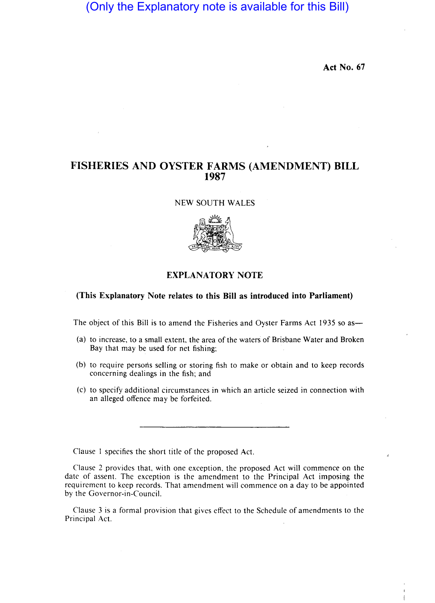# (Only the Explanatory note is available for this Bill)

**Act No. 67** 

## **FISHERIES AND OYSTER FARMS (AMENDMENT) BILL 1987**

NEW SOUTH WALES



### **(This Explanatory Note relates to this Bill as introduced into Parliament)**

The object of this Bill is to amend the Fisheries and Oyster Farms Act 1935 so as-

- (a) to increase, to a small extent, the area of the waters of Brisbane Water and Broken Bay that may be used for net fishing:
- (b) to require persons selling or storing fish to make or obtain and to keep records concerning dealings in the fish: and
- (c) to specify additional circumstances in which an article seized in connection with an alleged offence may be forfeited.

Clause I specifies the short title of the proposed Act.

Clause 2 provides that, with one exception, the proposed Act will commence on the date of assent. The exception is the amendment to the Principal Act imposing the requirement to keep records. That amendment will commence on a day to be appointed by the Governor-in-Council.

Clause 3 is a formal provision that gives effect to the Schedule of amendments to the Principal Act.